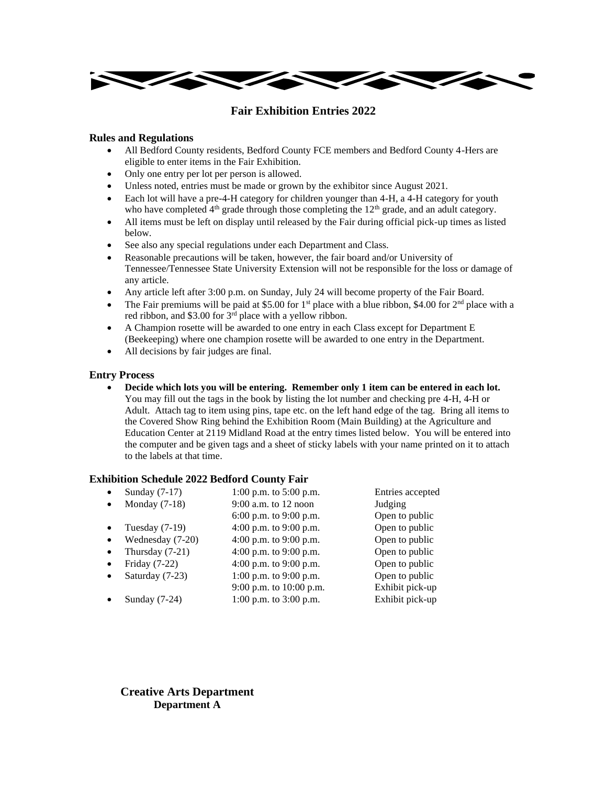

# **Fair Exhibition Entries 2022**

### **Rules and Regulations**

- All Bedford County residents, Bedford County FCE members and Bedford County 4-Hers are eligible to enter items in the Fair Exhibition.
- Only one entry per lot per person is allowed.
- Unless noted, entries must be made or grown by the exhibitor since August 2021.
- Each lot will have a pre-4-H category for children younger than 4-H, a 4-H category for youth who have completed  $4<sup>th</sup>$  grade through those completing the  $12<sup>th</sup>$  grade, and an adult category.
- All items must be left on display until released by the Fair during official pick-up times as listed below.
- See also any special regulations under each Department and Class.
- Reasonable precautions will be taken, however, the fair board and/or University of Tennessee/Tennessee State University Extension will not be responsible for the loss or damage of any article.
- Any article left after 3:00 p.m. on Sunday, July 24 will become property of the Fair Board.
- The Fair premiums will be paid at \$5.00 for 1<sup>st</sup> place with a blue ribbon, \$4.00 for  $2<sup>nd</sup>$  place with a red ribbon, and \$3.00 for 3rd place with a yellow ribbon.
- A Champion rosette will be awarded to one entry in each Class except for Department E (Beekeeping) where one champion rosette will be awarded to one entry in the Department.
- All decisions by fair judges are final.

### **Entry Process**

• **Decide which lots you will be entering. Remember only 1 item can be entered in each lot.** You may fill out the tags in the book by listing the lot number and checking pre 4-H, 4-H or Adult. Attach tag to item using pins, tape etc. on the left hand edge of the tag. Bring all items to the Covered Show Ring behind the Exhibition Room (Main Building) at the Agriculture and Education Center at 2119 Midland Road at the entry times listed below. You will be entered into the computer and be given tags and a sheet of sticky labels with your name printed on it to attach to the labels at that time.

# **Exhibition Schedule 2022 Bedford County Fair**

|           | Sunday $(7-17)$  | 1:00 p.m. to $5:00$ p.m.   | Entries accepted |
|-----------|------------------|----------------------------|------------------|
|           | Monday $(7-18)$  | $9:00$ a.m. to 12 noon     | Judging          |
|           |                  | 6:00 p.m. to 9:00 p.m.     | Open to public   |
|           | Tuesday $(7-19)$ | 4:00 p.m. to 9:00 p.m.     | Open to public   |
|           | Wednesday (7-20) | 4:00 p.m. to 9:00 p.m.     | Open to public   |
|           | Thursday (7-21)  | 4:00 p.m. to 9:00 p.m.     | Open to public   |
| $\bullet$ | Friday $(7-22)$  | 4:00 p.m. to 9:00 p.m.     | Open to public   |
|           | Saturday (7-23)  | 1:00 p.m. to 9:00 p.m.     | Open to public   |
|           |                  | 9:00 p.m. to 10:00 p.m.    | Exhibit pick-up  |
|           | Sunday $(7-24)$  | $1:00$ p.m. to $3:00$ p.m. | Exhibit pick-up  |
|           |                  |                            |                  |

**Creative Arts Department Department A**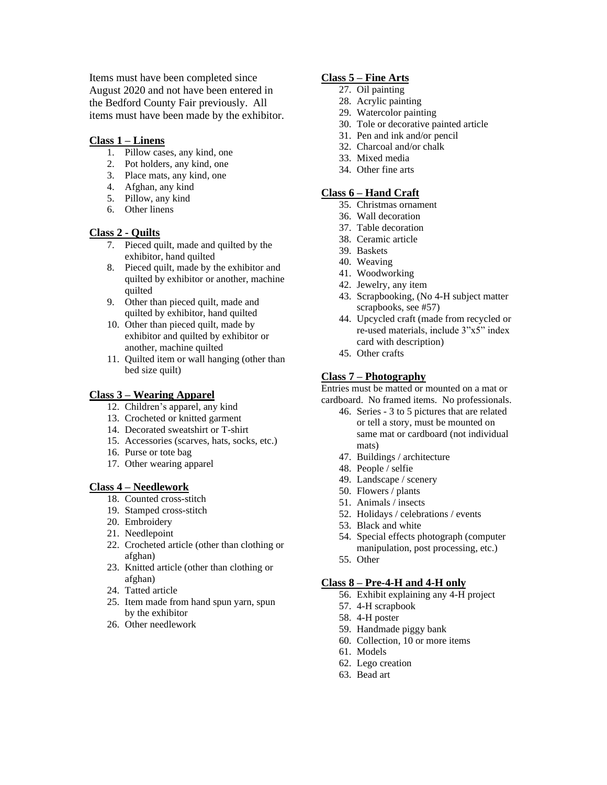Items must have been completed since August 2020 and not have been entered in the Bedford County Fair previously. All items must have been made by the exhibitor.

### **Class 1 – Linens**

- 1. Pillow cases, any kind, one
- 2. Pot holders, any kind, one
- 3. Place mats, any kind, one
- 4. Afghan, any kind
- 5. Pillow, any kind
- 6. Other linens

### **Class 2 - Quilts**

- 7. Pieced quilt, made and quilted by the exhibitor, hand quilted
- 8. Pieced quilt, made by the exhibitor and quilted by exhibitor or another, machine quilted
- 9. Other than pieced quilt, made and quilted by exhibitor, hand quilted
- 10. Other than pieced quilt, made by exhibitor and quilted by exhibitor or another, machine quilted
- 11. Quilted item or wall hanging (other than bed size quilt)

### **Class 3 – Wearing Apparel**

- 12. Children's apparel, any kind
- 13. Crocheted or knitted garment
- 14. Decorated sweatshirt or T-shirt
- 15. Accessories (scarves, hats, socks, etc.)
- 16. Purse or tote bag
- 17. Other wearing apparel

### **Class 4 – Needlework**

- 18. Counted cross-stitch
- 19. Stamped cross-stitch
- 20. Embroidery
- 21. Needlepoint
- 22. Crocheted article (other than clothing or afghan)
- 23. Knitted article (other than clothing or afghan)
- 24. Tatted article
- 25. Item made from hand spun yarn, spun by the exhibitor
- 26. Other needlework

### **Class 5 – Fine Arts**

- 27. Oil painting
- 28. Acrylic painting
- 29. Watercolor painting
- 30. Tole or decorative painted article
- 31. Pen and ink and/or pencil
- 32. Charcoal and/or chalk
- 33. Mixed media
- 34. Other fine arts

### **Class 6 – Hand Craft**

- 35. Christmas ornament
- 36. Wall decoration
- 37. Table decoration
- 38. Ceramic article
- 39. Baskets
- 40. Weaving
- 41. Woodworking
- 42. Jewelry, any item
- 43. Scrapbooking, (No 4-H subject matter scrapbooks, see #57)
- 44. Upcycled craft (made from recycled or re-used materials, include 3"x5" index card with description)
- 45. Other crafts

### **Class 7 – Photography**

Entries must be matted or mounted on a mat or

- cardboard. No framed items. No professionals.
	- 46. Series 3 to 5 pictures that are related or tell a story, must be mounted on same mat or cardboard (not individual mats)
	- 47. Buildings / architecture
	- 48. People / selfie
	- 49. Landscape / scenery
	- 50. Flowers / plants
	- 51. Animals / insects
	- 52. Holidays / celebrations / events
	- 53. Black and white
	- 54. Special effects photograph (computer manipulation, post processing, etc.)
	- 55. Other

### **Class 8 – Pre-4-H and 4-H only**

- 56. Exhibit explaining any 4-H project
- 57. 4-H scrapbook
- 58. 4-H poster
- 59. Handmade piggy bank
- 60. Collection, 10 or more items
- 61. Models
- 62. Lego creation
- 63. Bead art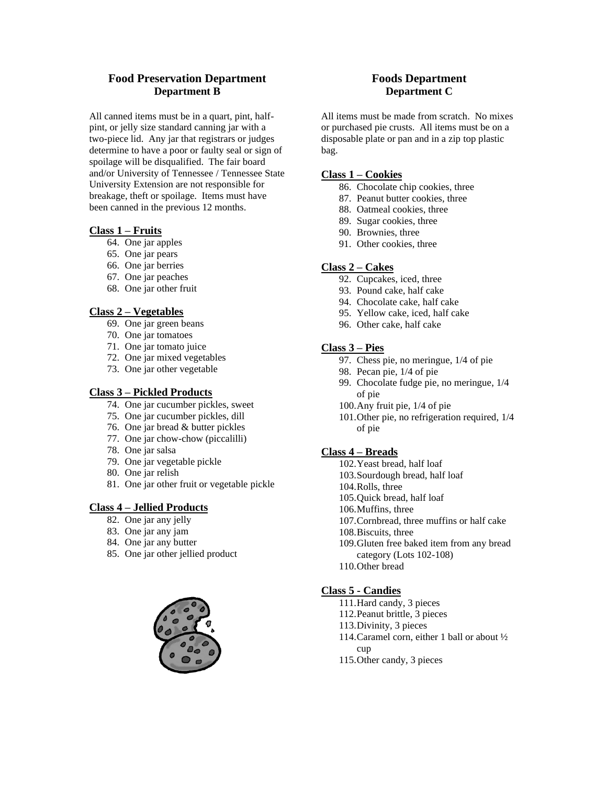# **Food Preservation Department Department B**

All canned items must be in a quart, pint, halfpint, or jelly size standard canning jar with a two-piece lid. Any jar that registrars or judges determine to have a poor or faulty seal or sign of spoilage will be disqualified. The fair board and/or University of Tennessee / Tennessee State University Extension are not responsible for breakage, theft or spoilage. Items must have been canned in the previous 12 months.

# **Class 1 – Fruits**

- 64. One jar apples
- 65. One jar pears
- 66. One jar berries
- 67. One jar peaches
- 68. One jar other fruit

### **Class 2 – Vegetables**

- 69. One jar green beans
- 70. One jar tomatoes
- 71. One jar tomato juice
- 72. One jar mixed vegetables
- 73. One jar other vegetable

### **Class 3 – Pickled Products**

- 74. One jar cucumber pickles, sweet
- 75. One jar cucumber pickles, dill
- 76. One jar bread & butter pickles
- 77. One jar chow-chow (piccalilli)
- 78. One jar salsa
- 79. One jar vegetable pickle
- 80. One jar relish
- 81. One jar other fruit or vegetable pickle

### **Class 4 – Jellied Products**

- 82. One jar any jelly
- 83. One jar any jam
- 84. One jar any butter
- 85. One jar other jellied product



### **Foods Department Department C**

All items must be made from scratch. No mixes or purchased pie crusts. All items must be on a disposable plate or pan and in a zip top plastic bag.

### **Class 1 – Cookies**

- 86. Chocolate chip cookies, three
- 87. Peanut butter cookies, three
- 88. Oatmeal cookies, three
- 89. Sugar cookies, three
- 90. Brownies, three
- 91. Other cookies, three

### **Class 2 – Cakes**

- 92. Cupcakes, iced, three
- 93. Pound cake, half cake
- 94. Chocolate cake, half cake
- 95. Yellow cake, iced, half cake
- 96. Other cake, half cake

### **Class 3 – Pies**

- 97. Chess pie, no meringue, 1/4 of pie
- 98. Pecan pie, 1/4 of pie
- 99. Chocolate fudge pie, no meringue, 1/4 of pie
- 100.Any fruit pie, 1/4 of pie
- 101.Other pie, no refrigeration required, 1/4 of pie

### **Class 4 – Breads**

- 102.Yeast bread, half loaf
- 103.Sourdough bread, half loaf
- 104.Rolls, three
- 105.Quick bread, half loaf
- 106.Muffins, three
- 107.Cornbread, three muffins or half cake
- 108.Biscuits, three
- 109.Gluten free baked item from any bread category (Lots 102-108)
- 110.Other bread

# **Class 5 - Candies**

- 111.Hard candy, 3 pieces
- 112.Peanut brittle, 3 pieces
- 113.Divinity, 3 pieces
- 114.Caramel corn, either 1 ball or about ½ cup
- 115.Other candy, 3 pieces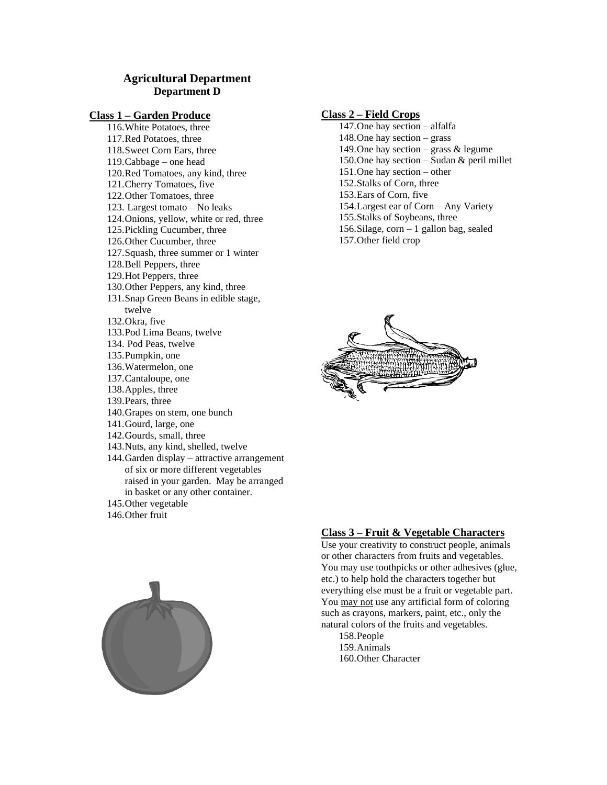# **Agricultural Department Department D**

### **Class 1 – Garden Produce**

116.White Potatoes, three 117.Red Potatoes, three 118.Sweet Corn Ears, three 119.Cabbage – one head 120.Red Tomatoes, any kind, three 121.Cherry Tomatoes, five 122.Other Tomatoes, three 123. Largest tomato – No leaks 124.Onions, yellow, white or red, three 125.Pickling Cucumber, three 126.Other Cucumber, three 127.Squash, three summer or 1 winter 128.Bell Peppers, three 129.Hot Peppers, three 130.Other Peppers, any kind, three 131.Snap Green Beans in edible stage, twelve 132.Okra, five 133.Pod Lima Beans, twelve 134. Pod Peas, twelve 135.Pumpkin, one 136.Watermelon, one 137.Cantaloupe, one 138.Apples, three 139.Pears, three 140.Grapes on stem, one bunch 141.Gourd, large, one 142.Gourds, small, three 143.Nuts, any kind, shelled, twelve 144.Garden display – attractive arrangement of six or more different vegetables raised in your garden. May be arranged in basket or any other container. 145.Other vegetable

146.Other fruit



### **Class 2 – Field Crops**

147.One hay section – alfalfa 148.One hay section – grass 149. One hay section – grass  $&$  legume 150.One hay section – Sudan & peril millet 151.One hay section – other 152.Stalks of Corn, three 153.Ears of Corn, five 154.Largest ear of Corn – Any Variety 155.Stalks of Soybeans, three 156.Silage, corn – 1 gallon bag, sealed 157.Other field crop



### **Class 3 – Fruit & Vegetable Characters**

Use your creativity to construct people, animals or other characters from fruits and vegetables. You may use toothpicks or other adhesives (glue, etc.) to help hold the characters together but everything else must be a fruit or vegetable part. You may not use any artificial form of coloring such as crayons, markers, paint, etc., only the natural colors of the fruits and vegetables.

158.People 159.Animals 160.Other Character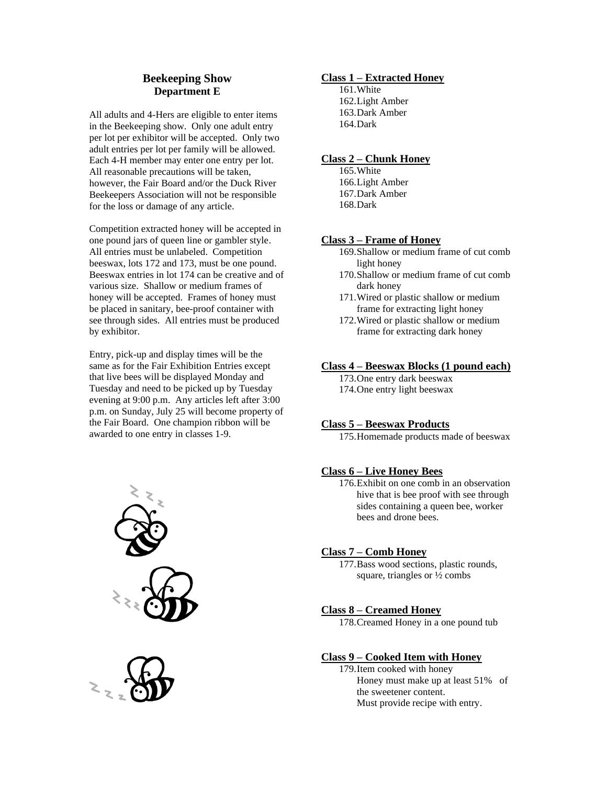# **Beekeeping Show Department E**

All adults and 4-Hers are eligible to enter items in the Beekeeping show. Only one adult entry per lot per exhibitor will be accepted. Only two adult entries per lot per family will be allowed. Each 4-H member may enter one entry per lot. All reasonable precautions will be taken, however, the Fair Board and/or the Duck River Beekeepers Association will not be responsible for the loss or damage of any article.

Competition extracted honey will be accepted in one pound jars of queen line or gambler style. All entries must be unlabeled. Competition beeswax, lots 172 and 173, must be one pound. Beeswax entries in lot 174 can be creative and of various size. Shallow or medium frames of honey will be accepted. Frames of honey must be placed in sanitary, bee-proof container with see through sides. All entries must be produced by exhibitor.

Entry, pick-up and display times will be the same as for the Fair Exhibition Entries except that live bees will be displayed Monday and Tuesday and need to be picked up by Tuesday evening at 9:00 p.m. Any articles left after 3:00 p.m. on Sunday, July 25 will become property of the Fair Board. One champion ribbon will be awarded to one entry in classes 1-9.





### **Class 1 – Extracted Honey**

161.White 162.Light Amber 163.Dark Amber 164.Dark

### **Class 2 – Chunk Honey**

165.White 166.Light Amber 167.Dark Amber 168.Dark

### **Class 3 – Frame of Honey**

- 169.Shallow or medium frame of cut comb light honey
- 170.Shallow or medium frame of cut comb dark honey
- 171.Wired or plastic shallow or medium frame for extracting light honey
- 172.Wired or plastic shallow or medium frame for extracting dark honey

### **Class 4 – Beeswax Blocks (1 pound each)**

173.One entry dark beeswax 174.One entry light beeswax

### **Class 5 – Beeswax Products**

175.Homemade products made of beeswax

### **Class 6 – Live Honey Bees**

176.Exhibit on one comb in an observation hive that is bee proof with see through sides containing a queen bee, worker bees and drone bees.

### **Class 7 – Comb Honey**

177.Bass wood sections, plastic rounds, square, triangles or ½ combs

# **Class 8 – Creamed Honey**

178.Creamed Honey in a one pound tub

### **Class 9 – Cooked Item with Honey**

179.Item cooked with honey Honey must make up at least 51% of the sweetener content. Must provide recipe with entry.